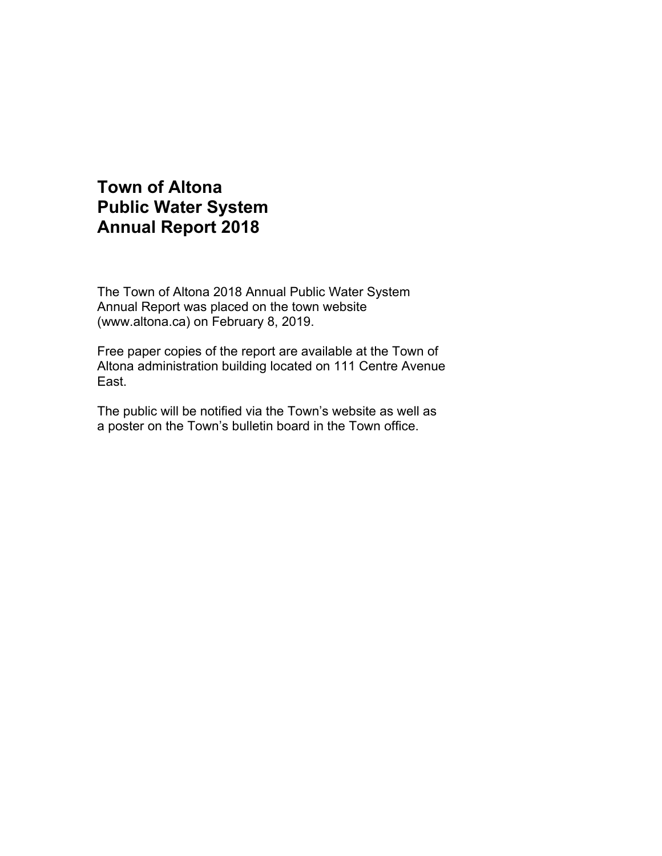# **Town of Altona Public Water System Annual Report 2018**

The Town of Altona 2018 Annual Public Water System Annual Report was placed on the town website (www.altona.ca) on February 8, 2019.

Free paper copies of the report are available at the Town of Altona administration building located on 111 Centre Avenue East.

The public will be notified via the Town's website as well as a poster on the Town's bulletin board in the Town office.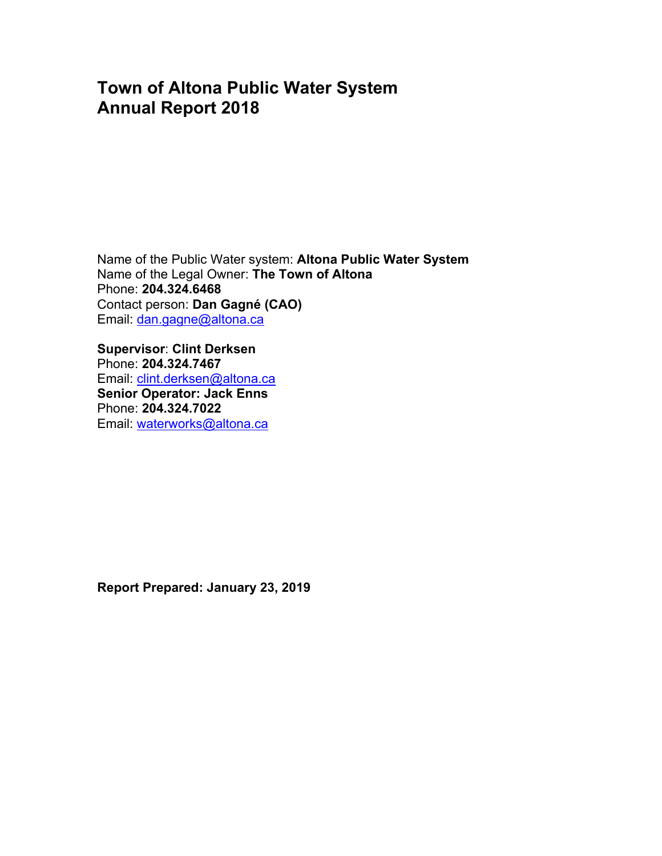# **Town of Altona Public Water System Annual Report 2018**

Name of the Public Water system: **Altona Public Water System** Name of the Legal Owner: **The Town of Altona** Phone: **204.324.6468**  Contact person: **Dan Gagné (CAO)**  Email: dan.gagne@altona.ca

**Supervisor**: **Clint Derksen**  Phone: **204.324.7467**  Email: clint.derksen@altona.ca **Senior Operator: Jack Enns** Phone: **204.324.7022**  Email: waterworks@altona.ca

**Report Prepared: January 23, 2019**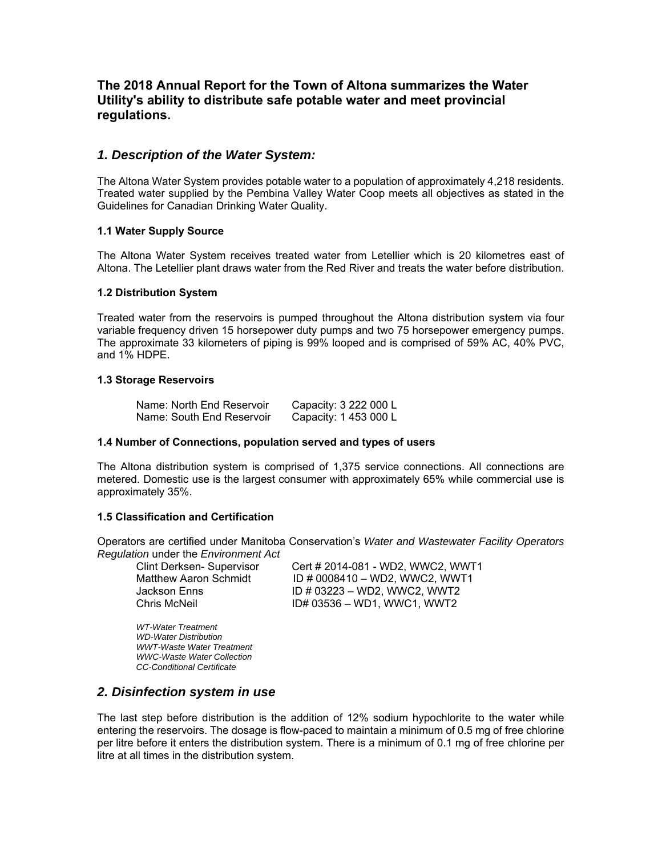# **The 2018 Annual Report for the Town of Altona summarizes the Water Utility's ability to distribute safe potable water and meet provincial regulations.**

### *1. Description of the Water System:*

The Altona Water System provides potable water to a population of approximately 4,218 residents. Treated water supplied by the Pembina Valley Water Coop meets all objectives as stated in the Guidelines for Canadian Drinking Water Quality.

#### **1.1 Water Supply Source**

The Altona Water System receives treated water from Letellier which is 20 kilometres east of Altona. The Letellier plant draws water from the Red River and treats the water before distribution.

#### **1.2 Distribution System**

Treated water from the reservoirs is pumped throughout the Altona distribution system via four variable frequency driven 15 horsepower duty pumps and two 75 horsepower emergency pumps. The approximate 33 kilometers of piping is 99% looped and is comprised of 59% AC, 40% PVC, and 1% HDPE.

#### **1.3 Storage Reservoirs**

| Name: North End Reservoir | Capacity: 3 222 000 L |
|---------------------------|-----------------------|
| Name: South End Reservoir | Capacity: 1 453 000 L |

#### **1.4 Number of Connections, population served and types of users**

The Altona distribution system is comprised of 1,375 service connections. All connections are metered. Domestic use is the largest consumer with approximately 65% while commercial use is approximately 35%.

#### **1.5 Classification and Certification**

Operators are certified under Manitoba Conservation's *Water and Wastewater Facility Operators Regulation* under the *Environment Act*

 Clint Derksen- Supervisor Cert # 2014-081 - WD2, WWC2, WWT1 Matthew Aaron Schmidt  $ID # 0008410 - WD2$ , WWC2, WWT1 Jackson Enns ID # 03223 – WD2, WWC2, WWT2 Chris McNeil ID# 03536 – WD1, WWC1, WWT2

 *WT-Water Treatment WD-Water Distribution WWT-Waste Water Treatment WWC-Waste Water Collection CC-Conditional Certificate* 

# *2. Disinfection system in use*

The last step before distribution is the addition of 12% sodium hypochlorite to the water while entering the reservoirs. The dosage is flow-paced to maintain a minimum of 0.5 mg of free chlorine per litre before it enters the distribution system. There is a minimum of 0.1 mg of free chlorine per litre at all times in the distribution system.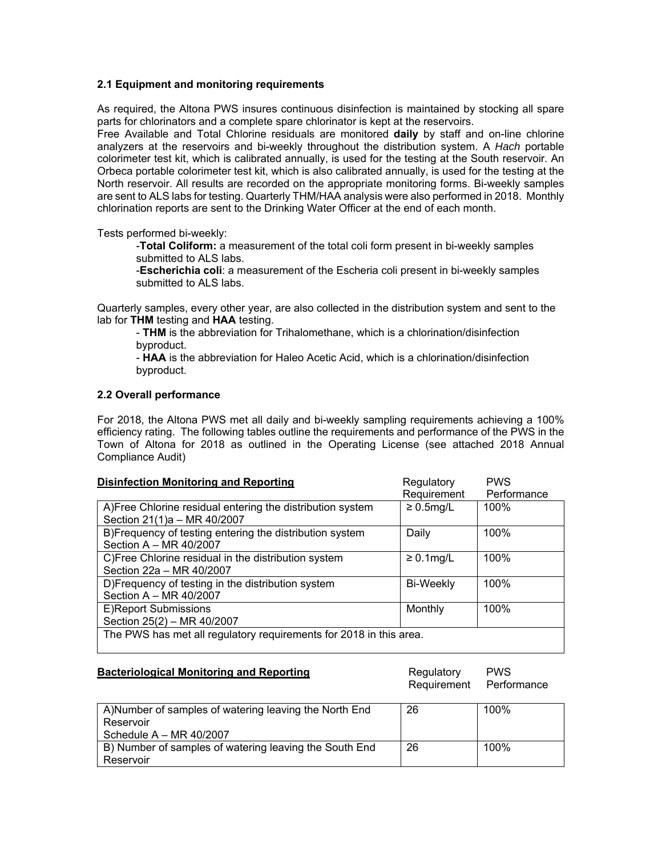#### **2.1 Equipment and monitoring requirements**

As required, the Altona PWS insures continuous disinfection is maintained by stocking all spare parts for chlorinators and a complete spare chlorinator is kept at the reservoirs.

Free Available and Total Chlorine residuals are monitored **daily** by staff and on-line chlorine analyzers at the reservoirs and bi-weekly throughout the distribution system. A *Hach* portable colorimeter test kit, which is calibrated annually, is used for the testing at the South reservoir. An Orbeca portable colorimeter test kit, which is also calibrated annually, is used for the testing at the North reservoir. All results are recorded on the appropriate monitoring forms. Bi-weekly samples are sent to ALS labs for testing. Quarterly THM/HAA analysis were also performed in 2018. Monthly chlorination reports are sent to the Drinking Water Officer at the end of each month.

Tests performed bi-weekly:

-**Total Coliform:** a measurement of the total coli form present in bi-weekly samples submitted to ALS labs.

-**Escherichia coli**: a measurement of the Escheria coli present in bi-weekly samples submitted to ALS labs.

Quarterly samples, every other year, are also collected in the distribution system and sent to the lab for **THM** testing and **HAA** testing.

- **THM** is the abbreviation for Trihalomethane, which is a chlorination/disinfection byproduct.

- **HAA** is the abbreviation for Haleo Acetic Acid, which is a chlorination/disinfection byproduct.

#### **2.2 Overall performance**

For 2018, the Altona PWS met all daily and bi-weekly sampling requirements achieving a 100% efficiency rating. The following tables outline the requirements and performance of the PWS in the Town of Altona for 2018 as outlined in the Operating License (see attached 2018 Annual Compliance Audit)

| <b>Disinfection Monitoring and Reporting</b>                                              | Regulatory       | <b>PWS</b>  |  |
|-------------------------------------------------------------------------------------------|------------------|-------------|--|
|                                                                                           | Requirement      | Performance |  |
| A) Free Chlorine residual entering the distribution system<br>Section 21(1)a - MR 40/2007 | $\geq 0.5$ mg/L  | 100%        |  |
| B)Frequency of testing entering the distribution system<br>Section A - MR 40/2007         | Daily            | 100%        |  |
| C)Free Chlorine residual in the distribution system<br>Section 22a - MR 40/2007           | $\geq 0.1$ mg/L  | 100%        |  |
| D)Frequency of testing in the distribution system<br>Section A - MR 40/2007               | <b>Bi-Weekly</b> | 100%        |  |
| E)Report Submissions<br>Section 25(2) - MR 40/2007                                        | Monthly          | 100%        |  |
| The PWS has met all regulatory requirements for 2018 in this area.                        |                  |             |  |

#### **Bacteriological Monitoring and Reporting Manufacture Regulatory PWS** Requirement Performance

| A) Number of samples of watering leaving the North End | 26 | 100% |
|--------------------------------------------------------|----|------|
| Reservoir                                              |    |      |
| Schedule $A - MR 40/2007$                              |    |      |
| B) Number of samples of watering leaving the South End | 26 | 100% |
| Reservoir                                              |    |      |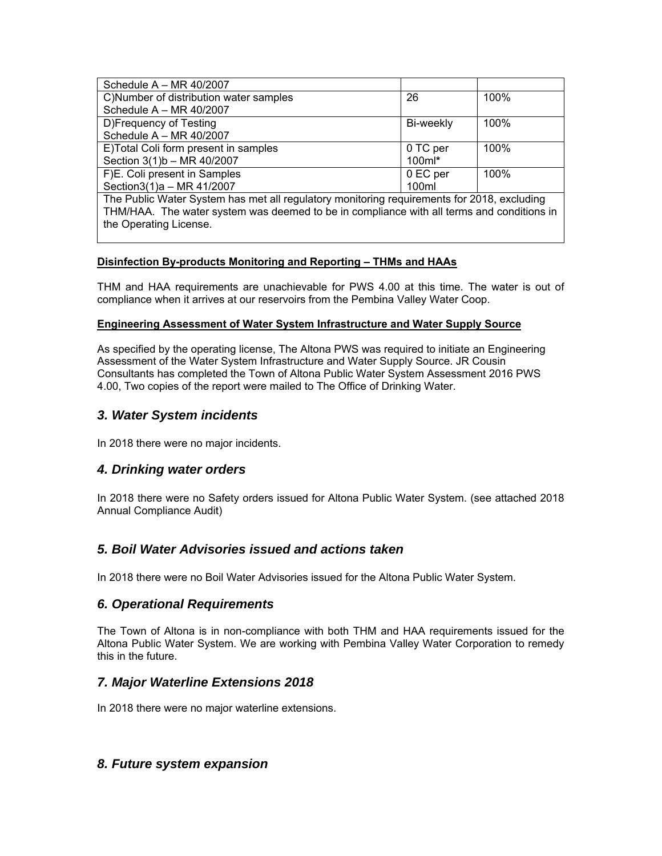| Schedule $A - MR 40/2007$                                                                  |           |      |  |
|--------------------------------------------------------------------------------------------|-----------|------|--|
| C)Number of distribution water samples                                                     | 26        | 100% |  |
| Schedule $A - MR 40/2007$                                                                  |           |      |  |
| D)Frequency of Testing                                                                     | Bi-weekly | 100% |  |
| Schedule A - MR 40/2007                                                                    |           |      |  |
| E)Total Coli form present in samples                                                       | 0 TC per  | 100% |  |
| Section 3(1)b - MR 40/2007                                                                 | $100ml*$  |      |  |
| F)E. Coli present in Samples                                                               | 0 EC per  | 100% |  |
| Section3(1)a - MR 41/2007                                                                  | 100ml     |      |  |
| The Public Water System has met all regulatory monitoring requirements for 2018, excluding |           |      |  |
| THM/HAA. The water system was deemed to be in compliance with all terms and conditions in  |           |      |  |

# **Disinfection By-products Monitoring and Reporting – THMs and HAAs**

THM and HAA requirements are unachievable for PWS 4.00 at this time. The water is out of compliance when it arrives at our reservoirs from the Pembina Valley Water Coop.

#### **Engineering Assessment of Water System Infrastructure and Water Supply Source**

As specified by the operating license, The Altona PWS was required to initiate an Engineering Assessment of the Water System Infrastructure and Water Supply Source. JR Cousin Consultants has completed the Town of Altona Public Water System Assessment 2016 PWS 4.00, Two copies of the report were mailed to The Office of Drinking Water.

# *3. Water System incidents*

the Operating License.

In 2018 there were no major incidents.

# *4. Drinking water orders*

In 2018 there were no Safety orders issued for Altona Public Water System. (see attached 2018 Annual Compliance Audit)

# *5. Boil Water Advisories issued and actions taken*

In 2018 there were no Boil Water Advisories issued for the Altona Public Water System.

# *6. Operational Requirements*

The Town of Altona is in non-compliance with both THM and HAA requirements issued for the Altona Public Water System. We are working with Pembina Valley Water Corporation to remedy this in the future.

# *7. Major Waterline Extensions 2018*

In 2018 there were no major waterline extensions.

# *8. Future system expansion*